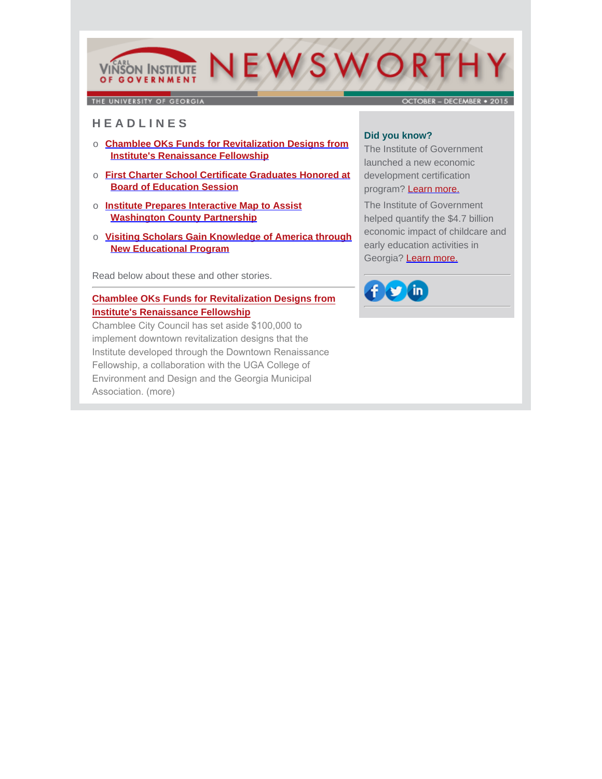# NEWSWORTH **VINSON INSTITUTE** OF GOVERNMENT

THE UNIVERSITY OF GEORGIA

OCTORER - DECEMBER . 2015

# **H E A D L I N E S**

- o **Chamblee OKs Funds for Revitalization Designs from Institute's Renaissance Fellowship**
- o **First Charter School Certificate Graduates Honored at Board of Education Session**
- o **Institute Prepares Interactive Map to Assist Washington County Partnership**
- o **Visiting Scholars Gain Knowledge of America through New Educational Program**

Read below about these and other stories.

# **[Chamblee OKs Funds for Revitalization Designs from](http://www.cviog.uga.edu/news/spotlights/110915-chamblee.html) Institute's Renaissance Fellowship**

Chamblee City Council has set aside \$100,000 to implement downtown revitalization designs that the Institute developed through the Downtown Renaissance Fellowship, a collaboration with the UGA College of Environment and Design and the Georgia Municipal Association. (more)

# **Did you know?**

The Institute of Government launched a new economic development certification program? [Learn more.](http://www.cviog.uga.edu/gced)

The Institute of Government helped quantify the \$4.7 billion economic impact of childcare and early education activities in Georgia? [Learn more.](http://oudev.cviog.uga.edu/_resources/documents/publications/economic-impact-early-care.pdf)

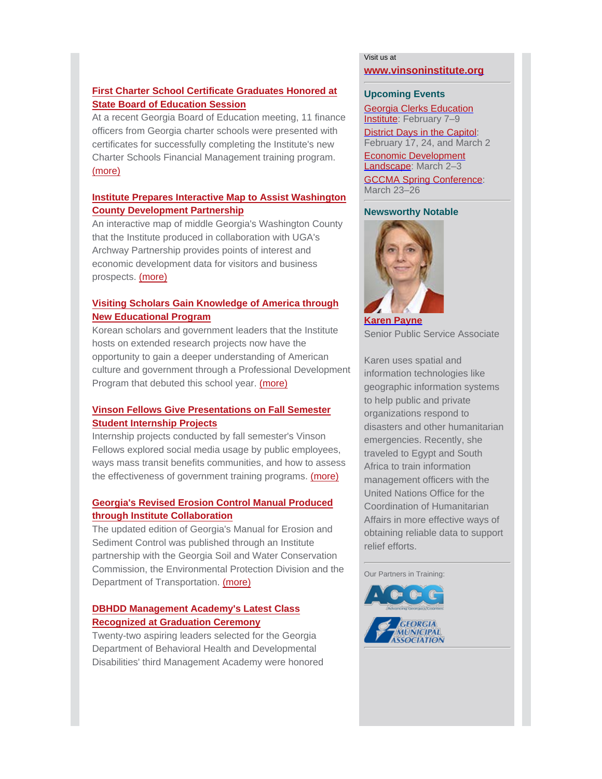# **First Charter School Certificate Graduates Honored at State Board of Education Session**

[At a recent Georgia Board of Education meeting, 11 finance](http://www.cviog.uga.edu/news/spotlights/122315-charter-school.html) officers from Georgia charter schools were presented with certificates for successfully completing the Institute's new Charter Schools Financial Management training program. (more)

# **[Institute Prepares Interactive Map to Assist Washington](http://www.cviog.uga.edu/news/spotlights/121615-washington.html) County Development Partnership**

An interactive map of middle Georgia's Washington County that the Institute produced in collaboration with UGA's Archway Partnership provides points of interest and economic development data for visitors and business prospects. (more)

# **Visiting Scholars Gain Knowledge of America through New Educational Program**

Korean scholars and government leaders that the Institute hosts on extended research projects now have the opportunity to gain a deeper understanding of American [culture and government through a Professional Developmen](http://www.cviog.uga.edu/news/spotlights/111515-korean-scholars.html)t Program that debuted this school year. (more)

# **Vinson Fellows Give Presentations on Fall Semester Student Internship Projects**

Internship projects conducted by fall semester's Vinson Fellows explored social media usage by public employees, [ways mass transit benefits communities, and how to assess](http://www.cviog.uga.edu/news/spotlights/122115-vinson-fellows.html) the effectiveness of government training programs. (more)

# **Georgia's Revised Erosion Control Manual Produced through Institute Collaboration**

The updated edition of Georgia's Manual for Erosion and Sediment Control was published through an Institute partnership with the Georgia Soil and Water Conservation [Commission, the Environmental Protection Division and th](https://gaswcc.georgia.gov/history-2016-edition-manual-erosion-and-sediment-control)e Department of Transportation. (more)

# **DBHDD Management Academy's Latest Class Recognized at Graduation Ceremony**

Twenty-two aspiring leaders selected for the Georgia Department of Behavioral Health and Developmental [Disabilities' third Management Academy were honored](http://www.cviog.uga.edu/news/spotlights/122215-dbhdd.html)

#### Visit us at

#### **[www.vinsoninstitute.org](http://www.cviog.uga.edu)**

#### **Upcoming Events**

Georgia Clerks Education Institute: February 7-9 District Days in the Capitol: February 17, 24, and March 2

Economic Development Landscape: March 2-3 GCCMA Spring Conference: March 23–26

#### **Newsworthy Notable**



**[Karen Payne](http://www.cviog.uga.edu/about-us/faculty-staff/karen-payne.html)** Senior Public Service Associate

Karen uses spatial and information technologies like geographic information systems to help public and private organizations respond to disasters and other humanitarian emergencies. Recently, she traveled to Egypt and South Africa to train information management officers with the United Nations Office for the Coordination of Humanitarian Affairs in more effective ways of obtaining reliable data to support relief efforts.

Our Partners in Training: